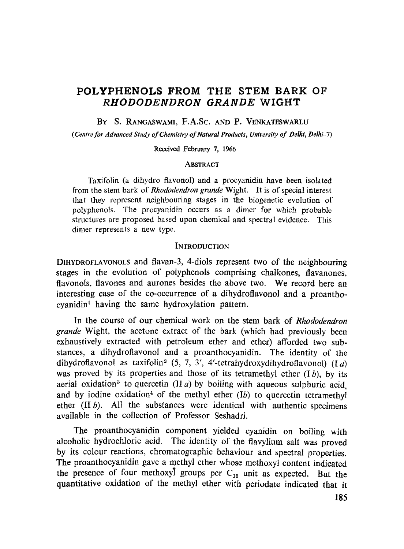# **POLYPHENOL\$ FROM THE STEM BARK OF**  *RHODODENDRON GRANDE* **WIGHT**

BY S. RANGASWAMI, F.A.Sc. AND P. VENKATESWARLU

*(Centre for Advanced Study of Chemistry of Natural Products, University of Deihi, Delhi-7)* 

Received February 7, 1966

#### **ABSTRACT**

Taxifolin (a dihydro flavonol) anda procyanidin have been isolated from the stem bark of *Rhododendron grande* Wight. It is of special interest that they represent neighbouring stages in the biogenetic evolution of polyphenols. The procyanidin occurs as a dimer for which probable structures are proposed based upon chemical and spectral evidence. This dimer represents a new type.

#### **INTRODUCTION**

D1HYDROFLAVONOLS and flavan-3, 4-diols represent two of the neighbouring stages in the evolution of polyphenols comprising chalkones, flavanones, flavonols, flavones and aurones besides the above two. We record here an interesting case of the co-occurrence of a dihydroflavonol and a proantho $cyanidin<sup>1</sup>$  having the same hydroxylation pattern.

In the course of our chemical work on the stem bark of *Rhododendron grande* Wight, the acetone extract of the bark (which had previously been exhaustively extracted with petroleum ether and ether) afforded two substances, a dihydroflavonol and a proanthocyanidin. The identity of the dihydroflavonol as taxifolin<sup>2</sup> (5, 7, 3', 4'-tetrahydroxydihydroflavonol) (Ia) was proved by its properties and those of its tetramethyl ether  $(Ib)$ , by its aerial oxidation<sup>3</sup> to quercetin (II a) by boiling with aqueous sulphuric acid, and by iodine oxidation<sup>4</sup> of the methyl ether (Ib) to quercetin tetramethyl ether  $(II b)$ . All the substances were identical with authentic specimens available in the collection of Professor Seshadri.

The proanthocyanidin component yielded cyanidin on boiling with alcoholic hydrochloric acid. The identity of the flavylium salt was proved by its colour reactions, chromatographic behaviour and spectral properties. The proanthocyanidin gave a methyl ether whose methoxyl content indicated the presence of four methoxyl groups per  $C_{15}$  unit as expected. But the quantitative oxidation of the methyl ether with periodate indicated that it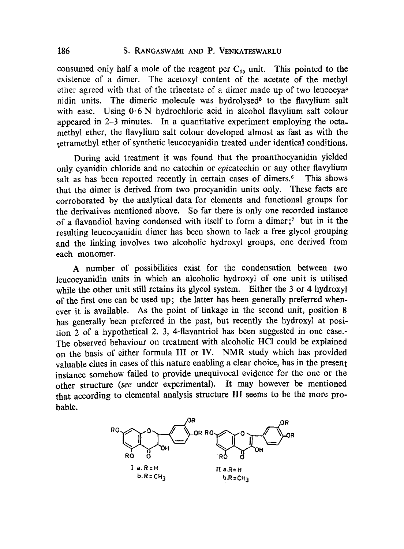### 186 S. RANGASWAMI AND P. VENKATESWARLU

consumed only half a mole of the reagent per  $C_{15}$  unit. This pointed to the existence of a dimer. The acetoxyl content of the acetate of the methyl ether agreed with that of the triacetate of a dimer made up of two leucocya<sup>8</sup> nidin units. The dimeric molecule was hydrolysed<sup>5</sup> to the flavylium salt with ease. Using  $0.6$  N hydrochloric acid in alcohol flavylium salt colour appeared in 2-3 minutes. In a quantitative experiment employing the octamethyl ether, the flavylium salt colour developed almost as fast as with the tetramethyl ether of synthetic leucocyanidin treated under identical conditions.

During acid treatment it was found that the proanthocyanidin yielded only cyanidin chloride and no catechin or *epicatechin* or any other flavylium salt as has been reported recently in certain cases of dimers.<sup>6</sup> This shows that the dimer is derived from two procyanidin units only. These facts are corroborated by the analytical data for elements and functional groups for the derivatives mentioned above. So far there is only one recorded instanee of a flavandiol having condensed with itself to form a dimer;<sup>7</sup> but in it the resulting leucocyanidin dimer has been shown to lack a free glycol grouping and the linking involves two alcoholic hydroxyl groups, one derived from each monomer.

A number of possibilities exist for the condensation between two leucocyanidin units in whieh an alcoholic hydroxyl of one unit is utilised while the other unit still retains its glycol system. Either the 3 or 4 hydroxyl of the first one can be used up; the latter has been generally preferred whenever it is available. As the point of linkage in the second unit, position 8 has generally been preferred in the past, but recently the hydroxyl at position 2 of a hypothetical 2, 3, 4-flavantriol has been suggested in one case.- The observed behaviour on treatment with alcoholic HCI could be explained on the basis of either formula III or IV. NMR study which has provided valuable clues in cases of this nature enabling a clear choice, has in the present instance somehow failed to provide unequivocal evidence for the one or the other structure *(see* under experimental). Ir may however be mentioned that according to elemental analysis structure III seems to be the more probable.

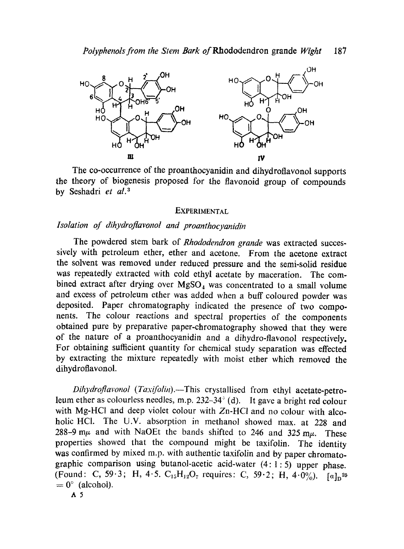

The co-occurrence of the proanthocyanidin and dihydroflavonol supports the theory of biogenesis proposed for the flavonoid group of compounds by Seshadri *et al. 3* 

## **EXPERIMENTAL**

# *Isolation of dihydroflavonol and proanthocyanidin*

The powdered stem bark of *Rhododendron grande* was extracted successively with petroleum ether, ether and acetone. From the acetone extract the solvent was removed under reduced pressure and the semi-solid residue was repeatedly extracted with cold ethyl acetate by maceration. The combined extract after drying over  $MgSO<sub>4</sub>$  was concentrated to a small volume and excess of petroleum ether was added when a buff coloured powder was deposited. Paper chromatography indicated the presence of two components. The colour reactions and spectral properties of the components obtained pure by preparative paper-chromatography showed that they were of the nature of a proanthocyanidin and a dihydro-flavonol respectively. For obtaining suflicient quantity for chemical study separation was effected by extracting the mixture repeatedly with moist ether which removed the dihydroflavonol.

*Dihydroflavonol (Taxifolin).--This* crystallised from ethyl acetate-petroleum ether as colourless needles, m.p.  $232-34^\circ$  (d). It gave a bright red colour with Mg-HCl and deep violet colour with Zn-HCl and no colour with alcoholic HCI. The U.V. absorption in methanol showed max. at 228 and 288-9 m $\mu$  and with NaOEt the bands shifted to 246 and 325 m $\mu$ . These properties showed that the compound might be taxifolin. The identity was confirmed by mixed m.p. with authentic taxifolin and by paper chromatographic comparison using butanol-acetic acid-water  $(4:1:5)$  upper phase. (Found: C, 59.3; H, 4.5. C<sub>15</sub>H<sub>12</sub>O<sub>7</sub> requires: C, 59.2; H, 4.0%).  $[a]_n^{25}$  $= 0^{\circ}$  (alcohol).

A5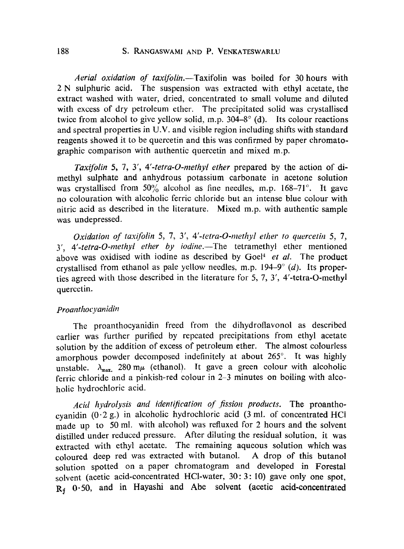# 188 S. RANGASWAMI AND P. VENKATESWARLU

*Aerial oxidation of taxifolin.--Taxifolin* was boiled for 30 hours with 2 N sulphuric acid. The suspension was extracted with ethyl acetate, the extract washed with water, dried, concentrated to small volume and diluted with excess of dry petroleum ether. The precipitated solid was crystallised twice from alcohol to give yellow solid, m.p.  $304-8^{\circ}$  (d). Its colour reactions and spectral properties in U.V. and visible region including shifts with standard reagents showed it to be quercetin and this was confirmed by paper chromatographic comparison with authentic quercetin and mixed m.p.

*Taxifolin 5, 7, Y, 4'-tetra-O-methyl ether* prepared by the action of dimethyl sulphate and anhydrous potassium carbonate in acetone solution was crystallised from  $50\%$  alcohol as fine needles, m.p. 168–71°. It gave no colouration with alcoholic ferric chloride but an intense blue colour with nitric acid as described in the literature. Mixed m.p. with authentic sample was undepressed.

*Oxidation of taxifolin 5, 7, 3', 4'-tetra-O-methyl ether to quercetin 5, 7, y'*, 4'-tetra-O-methyl ether by iodine.—The tetramethyl ether mentioned above was oxidised with iodine as described by Goel<sup>4</sup> et al. The product crystallised from ethanol as pale yellow needles, m.p.  $194-9°$  *(d)*. Its properties agreed with those described in the literature for 5, 7, Y, 4'-tetra-O-methyl quercctin.

### *Proanthocyanidin*

The proanthocyanidin freed from the dihydroflavonol as described carlier was further purified by repeated precipitations from ethyl acetate solution by the addition of excess of petroleum ether. The almost colourless amorphous powder decomposed indefinitely at about 265°. It was highly unstable.  $\lambda_{\text{max}}$  280 m $\mu$  (ethanol). It gave a green colour with alcoholic ferric chloride and a pinkish-red colour in 2-3 minutes on boiling with alcoholie hydrochloric acid.

*Acid hydrolysis and identification of fission products.* The proanthocyanidin  $(0.2 g.)$  in alcoholic hydrochloric acid  $(3 ml.)$  of concentrated HCl made up to 50 ml. with alcohol) was refluxed for 2 hours and the solvent distilled under reduced pressure. After diluting the residual solution, it was extracted with ethyl acetate. The remaining aqueous solution whieh was coloured deep red was extraeted with butanol. A drop of this butanol solution spotted on a paper chromatogram and developed in Forestal solvent (acetic acid-concentrated HCl-water, 30: 3: 10) gave only one spot, R<sub>f</sub> 0.50, and in Hayashi and Abe solvent (acetic acid-concentrated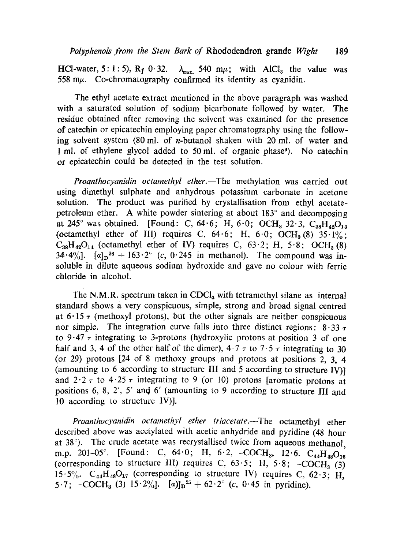HCl-water, 5: 1: 5),  $R_f$  0.32.  $\lambda_{max}$  540 m $\mu$ ; with AlCl<sub>3</sub> the value was 558 m $\mu$ . Co-chromatography confirmed its identity as cyanidin.

The ethyl acetate extract mentioned in the above paragraph was washed with a saturated solution of sodium bicarbonate followed by water. The residue obtained after removing the solvent was examined for the presence of catechin or epicatechin employing paper chromatography using the following solvent system  $(80 \text{ ml. of } n\text{-butanol shaken with } 20 \text{ ml. of water and }$ 1 ml. of ethylene glycol added to 50 mi. of organic phase9). No catechin or epicatechin could be detected in the test solution.

*Proanthocyanidin octamethyl ether.*—The methylation was carried out using dimethyl sulphate and anhydrous potassium carbonate in acetone solution. The product was purified by crystallisation from ethyl acetatepetroleum ether. A white powder sintering at about  $183^\circ$  and decomposing at 245° was obtained. [Found: C,  $64.6$ ; H,  $6.0$ ; OCH<sub>3</sub> 32.3, C<sub>33</sub>H<sub>42</sub>O<sub>12</sub> (octamethyl ether of III) requires C,  $64.6$ ; H,  $6.0$ ; OCH<sub>3</sub>(8)  $35.1\%$ ;  $C_{38}H_{42}O_{14}$  (octamethyl ether of IV) requires C, 63.2; H, 5.8; OCH<sub>3</sub> (8) 34.4%].  $[a]_D^{26} + 163.2^{\circ}$  (c, 0.245 in methanol). The compound was insoluble in dilute aqueous sodium hydroxide and gave no colour with ferric chloride in alcohol.

The N.M.R. spectrum taken in  $CDCl<sub>3</sub>$  with tetramethyl silane as internal standard shows a very conspicuous, simple, strong and broad signal centred at  $6.15 \tau$  (methoxyl protons), but the other signals are neither conspicuous nor simple. The integration curve falls into three distinct regions:  $8.33 \tau$ to 9.47  $\tau$  integrating to 3-protons (hydroxylic protons at position 3 of one half and 3, 4 of the other half of the dimer),  $4.7 \tau$  to  $7.5 \tau$  integrating to 30 (or 29) protons [24 of 8 methoxy groups and protons at positions 2, 3, 4 (amounting to 6 according to structure III and 5 according to structure IV)] and  $2 \cdot 2 \tau$  to  $4 \cdot 25 \tau$  integrating to 9 (or 10) protons [aromatic protons at positions 6, 8, 2', 5' and 6' (amounting to 9 according to structure III and 10 according to structure 1V)].

*Proanthocyanidin octamethyl ether triacetate.--The* octamethyl ether described above was acetylated with acetic anhydride and pyridine (48 hour at  $38^\circ$ ). The crude acetate was recrystallised twice from aqueous methanol, m.p. 201-05°. [Found: C, 64.0; H, 6.2, -COCH<sub>3</sub>, 12.6.  $C_{44}H_{49}O_{16}$ (corresponding to structure III) requires C,  $63.5$ ; H,  $5.8$ ;  $-COCH<sub>3</sub>$  (3) 15.5%.  $C_{44}H_{48}O_{17}$  (corresponding to structure IV) requires C, 62.3; H, 5.7;  $-COCH_3$  (3)  $15.2\%$ ]. [a)] $n^{25} + 62.2^\circ$  (c, 0.45 in pyridine).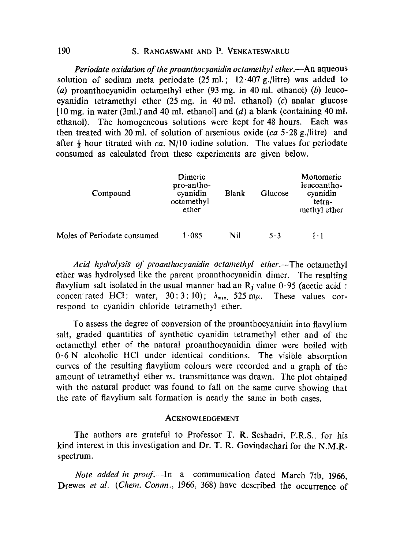## 190 S. RANGASWAMI AND P, VENKATESWARLU

*Periodate oxidation of the proanthocyanidin octamethyl ether.*—An aqueous solution of sodium meta periodate  $(25 \text{ ml.}; 12.407 \text{ g.}/\text{litre})$  was added to (a) proanthocyanidin octamethyl ether  $(93 \text{ mg. in } 40 \text{ ml. ethanol})$  (b) leucocyanidin tetramethyl ether  $(25 \text{ mg. in } 40 \text{ ml.}$  ethanol)  $(c)$  analar glucose [10 mg. in water (3ml.) and 40 ml. ethanol] and  $(d)$  a blank (containing 40 ml. ethanol). The homogeneous solutions were kept for 48 hours. Each was then treated with 20 ml. of solution of arsenious oxide  $(ca 5.28 g$ ./litre) and after  $\frac{1}{2}$  hour titrated with *ca.* N/10 iodine solution. The values for periodate consumed as calculated from these experiments are given below.

| Compound                    | Dimeric<br>pro-antho-<br>cyanidin<br>octamethyl<br>ether | <b>Blank</b> | Glucose | Monomeric<br>leucoantho-<br>cyanidin<br>tetra-<br>methyl ether |
|-----------------------------|----------------------------------------------------------|--------------|---------|----------------------------------------------------------------|
| Moles of Periodate consumed | 1.085                                                    | Nil          | 5.3     | $1 \cdot 1$                                                    |

*Acid hydrolysis of proanthocyanidin octamethyl ether.—The octamethyl* ether was hydrolysed like the parent proanthocyanidin dimer. The resulting flavylium salt isolated in the usual manner had an  $R_i$  value 0.95 (acetic acid : concenrated HCI: water,  $30:3:10$ ;  $\lambda_{\text{max}}$ ,  $525 \text{ m}\mu$ . These values correspond to cyanidin chloride tetramethyl ether.

To assess the degree of conversion of the proanthocyanidin into flavylium salt, graded quantities of synthetic cyanidin tetramethyl ether and of the octamethyl ether of the natural proanthocyanidin dimer were boiled with 0.6 N alcoholic HCI under identical conditions. The visible absorption curves of the resulting flavylium colours were recorded anda graph of the amount of tetramethyl ether *vs.* transmittance was drawn. The plot obtained with the natural product was found to fall on the same curve showing that the rate of flavylium salt formation is nearly the same in both cases.

#### ACKNOWLEDGEMENT

The authors are grateful to Professor T. R. Seshadri, F.R.S., for his kind interest in this investigation and Dr. T. R. Govindachari for the N.M.R. spectrum.

*Note added in proof*.—In a communication dated March 7th, 1966, Drewes *et al. (Chem. Comm.,* 1966, 368) have described the occurrence of